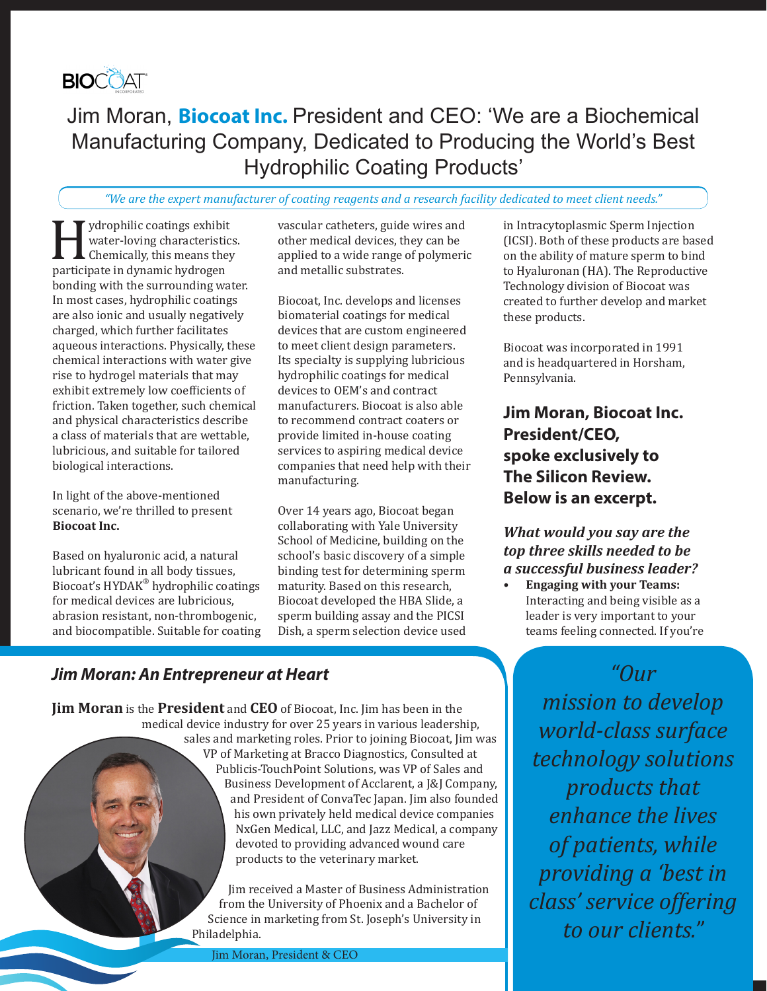

# Jim Moran, **Biocoat Inc.** President and CEO: 'We are a Biochemical Manufacturing Company, Dedicated to Producing the World's Best Hydrophilic Coating Products'

#### *"We are the expert manufacturer of coating reagents and a research facility dedicated to meet client needs."*

ydrophilic coatings exhibit<br>water-loving characteristic<br>chemically, this means they<br>participate in dynamic hydrogen water-loving characteristics. Chemically, this means they participate in dynamic hydrogen bonding with the surrounding water. In most cases, hydrophilic coatings are also ionic and usually negatively charged, which further facilitates aqueous interactions. Physically, these chemical interactions with water give rise to hydrogel materials that may exhibit extremely low coefficients of friction. Taken together, such chemical and physical characteristics describe a class of materials that are wettable, lubricious, and suitable for tailored biological interactions.

In light of the above-mentioned scenario, we're thrilled to present **Biocoat Inc.**

Based on hyaluronic acid, a natural lubricant found in all body tissues, Biocoat's HYDAK® hydrophilic coatings for medical devices are lubricious, abrasion resistant, non-thrombogenic, and biocompatible. Suitable for coating vascular catheters, guide wires and other medical devices, they can be applied to a wide range of polymeric and metallic substrates.

Biocoat, Inc. develops and licenses biomaterial coatings for medical devices that are custom engineered to meet client design parameters. Its specialty is supplying lubricious hydrophilic coatings for medical devices to OEM's and contract manufacturers. Biocoat is also able to recommend contract coaters or provide limited in-house coating services to aspiring medical device companies that need help with their manufacturing.

Over 14 years ago, Biocoat began collaborating with Yale University School of Medicine, building on the school's basic discovery of a simple binding test for determining sperm maturity. Based on this research, Biocoat developed the HBA Slide, a sperm building assay and the PICSI Dish, a sperm selection device used in Intracytoplasmic Sperm Injection (ICSI). Both of these products are based on the ability of mature sperm to bind to Hyaluronan (HA). The Reproductive Technology division of Biocoat was created to further develop and market these products.

Biocoat was incorporated in 1991 and is headquartered in Horsham, Pennsylvania.

**Jim Moran, Biocoat Inc. President/CEO, spoke exclusively to The Silicon Review. Below is an excerpt.**

### *What would you say are the top three skills needed to be a successful business leader?*

**• Engaging with your Teams:** Interacting and being visible as a leader is very important to your teams feeling connected. If you're

> *"Our mission to develop world-class surface technology solutions products that enhance the lives of patients, while providing a 'best in class' service offering to our clients."*

# *Jim Moran: An Entrepreneur at Heart*

**Jim Moran** is the **President** and **CEO** of Biocoat, Inc. Jim has been in the medical device industry for over 25 years in various leadership, sales and marketing roles. Prior to joining Biocoat, Jim was VP of Marketing at Bracco Diagnostics, Consulted at Publicis-TouchPoint Solutions, was VP of Sales and Business Development of Acclarent, a J&J Company, and President of ConvaTec Japan. Jim also founded his own privately held medical device companies NxGen Medical, LLC, and Jazz Medical, a company devoted to providing advanced wound care products to the veterinary market.

> Jim received a Master of Business Administration from the University of Phoenix and a Bachelor of Science in marketing from St. Joseph's University in Philadelphia.

Jim Moran, President & CEO